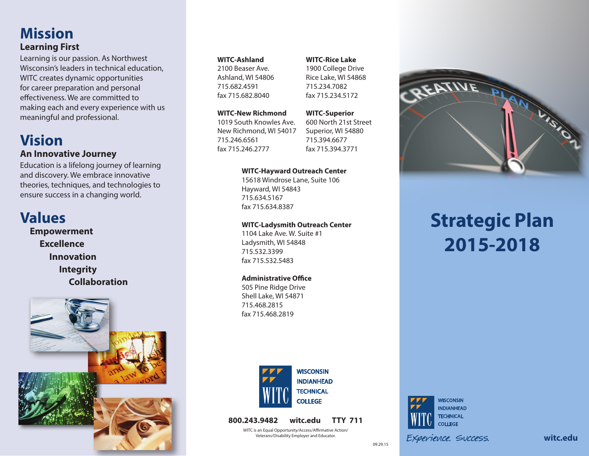## **Mission Learning First**

Learning is our passion. As Northwest Wisconsin's leaders in technical education, WITC creates dynamic opportunities for career preparation and personal effectiveness. We are committed to making each and every experience with us meaningful and professional.

## **Vision An Innovative Journey**

Education is a lifelong journey of learning and discovery. We embrace innovative theories, techniques, and technologies to ensure success in a changing world.

## **Values**

 **Empowerment Excellence Innovation Integrity Collaboration**



#### **WITC-Ashland**

2100 Beaser Ave. Ashland, WI 54806 715.682.4591 fax 715.682.8040

#### **WITC-New Richmond**

1019 South Knowles Ave. New Richmond, WI 54017 715.246.6561 fax 715.246.2777

**WITC-Superior** 600 North 21st Street Superior, WI 54880

#### **WITC-Hayward Outreach Center**

15618 Windrose Lane, Suite 106 Hayward, WI 54843 715.634.5167 fax 715.634.8387

#### **WITC-Ladysmith Outreach Center**

1104 Lake Ave. W. Suite #1 Ladysmith, WI 54848 715.532.3399 fax 715.532.5483

#### **Administrative Office**

505 Pine Ridge Drive Shell Lake, WI 54871 715.468.2815 fax 715.468.2819



**800.243.9482 witc.edu TTY 711**

WITC is an Equal Opportunity/Access/Affirmative Action/ Veterans/Disability Employer and Educator.

#### **WITC-Rice Lake**

1900 College Drive Rice Lake, WI 54868 715.234.7082 fax 715.234.5172

715.394.6677 fax 715.394.3771



# **Strategic Plan 2015-2018**



09.29.15